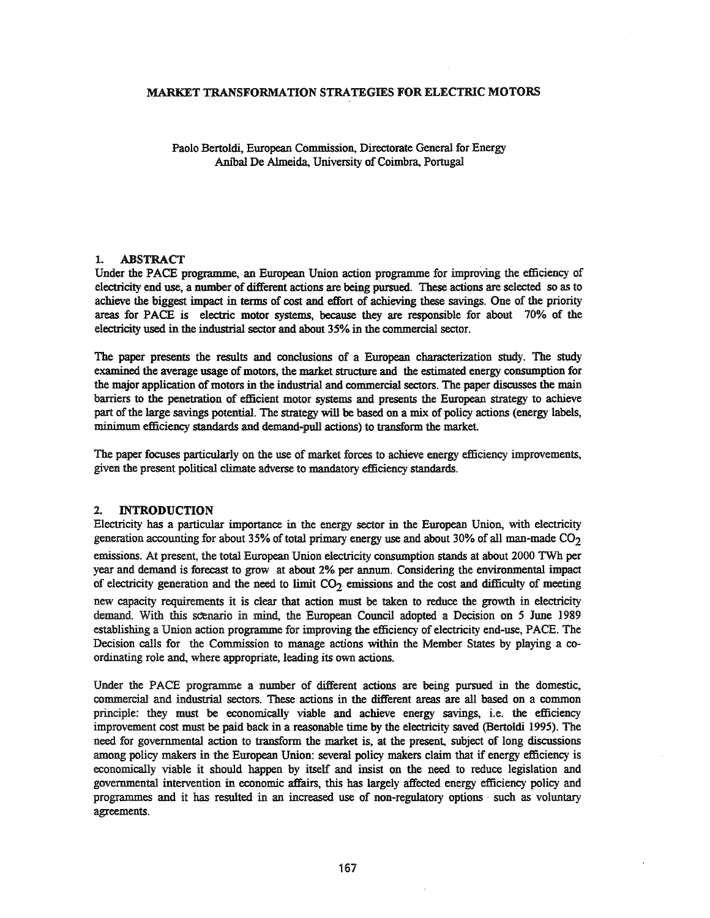### MARKET TRANSFORMATION STRATEGIES FOR ELECTRIC MOTORS

Paolo Bertoldi, European Commission, Directorate General for Energy Ambal De Almeida, University of Coimbra, Portugal

#### 1. ABSTRACT

Under the PACE programme, an European Union action programme for improving the efficiency of electricity end use, a number of different actions are being pursued. These actions are selected so as to achieve the biggest impact in terms of cost and effort of achieving these savings. One of the priority areas for PACE is electric motor systems, because they are responsible for about 70% of the electricity used in the industrial sector and about 35% in the commercial sector.

The paper presents the results and conclusions of a European characterization study. The study examined the average usage of motors, the market structure and the estimated energy consumption for the major application of motors in the industrial and commercial sectors. The paper discusses the main barriers to the penetration of efficient motor systems and presents the European strategy to achieve part of the large savings potential. The strategy will be based on a mix of policy actions (energy labels, minimum efficiency standards and demand-pull actions) to transform the market.

The paper focuses particularly on the use of market forces to achieve energy efficiency improvements, given the present political climate adverse to mandatory efficiency standards.

### 2. INTRODUCTION

Electricity has a particular importance in the energy sector in the European Union, with electricity generation accounting for about 35% of total primary energy use and about 30% of all man-made  $CO<sub>2</sub>$ emissions. At present, the total European Union electricity consumption stands at about 2000 TWh per year and demand is forecast to grow at about 2% per annum. Considering the environmental impact of electricity generation and the need to limit  $CO<sub>2</sub>$  emissions and the cost and difficulty of meeting new capacity requirements it is clear that action must be taken to reduce the growth in electricity demand. With this seenario in mind, the European Council adopted a Decision on 5 June 1989 establishing a Union action programme for improving the efficiency of electricity end-use, PACE. The Decision calls for the Commission to manage actions within the Member States by playing a coordinating role and, where appropriate, leading its own actions.

Under the PACE programme a number of different actions are being pursued in the domestic, commercial and industrial sectors. These actions in the different areas are all based on a common principle: they must be economically viable and achieve energy savings, i.e. the efficiency improvement cost must be paid back in a reasonable time by the electricity saved (Bertoldi 1995). The need for governmental action to transform the market is, at the present, subject of long discussions among policy makers in the European Union: several policy makers claim that if energy efficiency is economically viable it should happen by itself and insist on the need to reduce legislation and governmental intervention in economic affairs, this has largely affected energy efficiency policy and programmes and it has resulted in an increased use of non-regulatory options . such as voluntary agreements.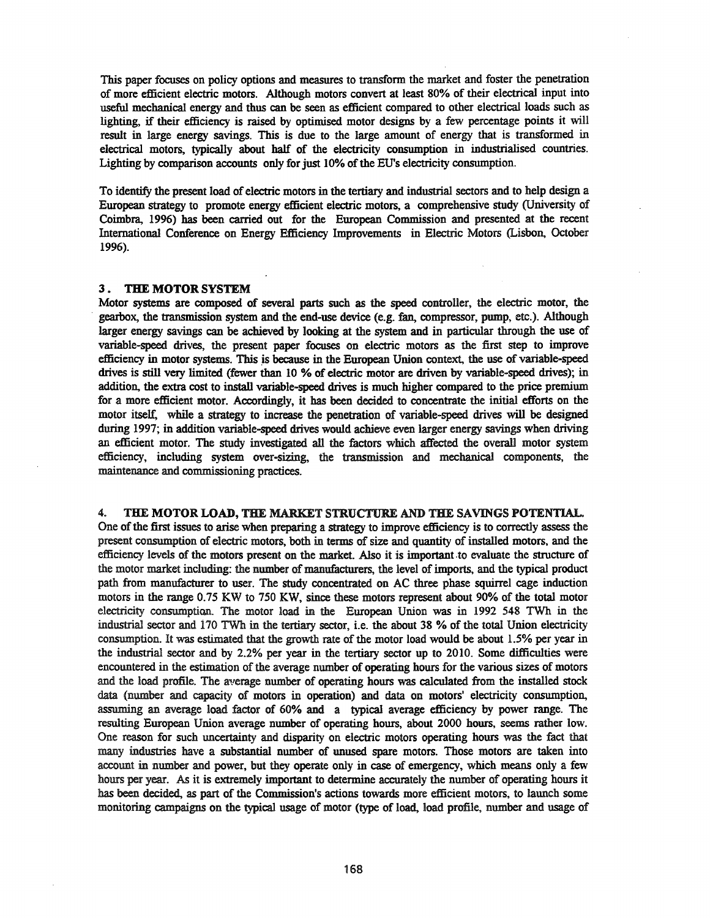This paper focuses on policy options and measures to transform the market and foster the penetration of more efficient electric motors. Although motors convert at least 80% of their electrical input into useful mechanical energy and thus can be seen as efficient compared to other electrical loads such as lighting, if their efficiency is raised by optimised motor designs by <sup>a</sup> few percentage points it will result in large energy savings. This is due to the large amount of energy that is transformed in electrical motors, typically about half of the electricity consumption in industrialised countries. Lighting by comparison accounts only for just 10% of the EU's electricity consumption.

To identify the present load of electric motors in the tertiary and industrial sectors and to help design a European strategy to promote energy efficient electric motors, a comprehensive study (University of Coimbra, 1996) has been carried out for the European Commission and presented at the recent International Conference on Energy Efficiency Improvements in Electric Motors (Lisbon., October 1996).

# 3. **THE MOTOR** SYSTEM

Motor systems are composed of several parts such as the speed controller, the electric motor, the gearbox, the transmission system and the end-use device (e.g. fan, compressor, pump, etc.). Although larger energy savings can be achieved by looking at the system and in particular through the use of variable-speed drives, the present paper focuses on electric motors as the first step to improve efficiency in motor systems. This is because in the European Union context, the use of variable-speed drives is still very limited (fewer than 10 % of electric motor are driven by variable-speed drives); in addition., the extra cost to install variable-speed drives is much higher compared to the price premium for a more efficient motor. Accordingly, it has been decided to concentrate the initial efforts on the motor itself, while a strategy to increase the penetration of variable-speed drives will be designed during 1997; in addition variable-speed drives would achieve even larger energy savings when driving an efficient motor. The study investigated all the factors which affected the overall motor system efficiency, including system over-sizing, the transmission and mechanical components, the maintenance and commissioning practices.

### 4. THE MOTOR LOAD, THE MARKET STRUCTIJRE AND THE SAVINGS POTENTIAL.

One ofthe first issues to arise when preparing a strategy to improve efficiency is to correctly assess the present consumption of electric motors, both in terms of size and quantity of installed motors, and the efficiency levels of the motors present on the market. Also it is important.to evaluate the structure of the motor market including: the number of manufacturers, the level of imports, and the typical product path from manufacturer to user. The study concentrated on AC three phase squirrel cage induction motors in the range 0.75 KW to 750 KW. since these motors represent about 90% of the total motor electricity consumptian. The motor load in the European Union was in 1992 548 TWh in the industrial sector and 170 TWh in the tertiary sector, i.e. the about 38 % of the total Union electricity consumption. It was estimated that the growth rate of the motor load would be about 1.5% per year in the industrial sector and by 2.2% per year in the tertiary sector up to 2010. Some difficulties were encountered in the estimation of the average number of operating hours for the various sizes of motors and the load profile. The average number of operating hours was calculated from the installed stock data (number and capacity of motors in operation) and data on motors' electricity consumption, assuming an average load factor of 60% and a typical average efficiency by power range. The resulting European Union average number of operating hours, about 2000 hours, seems rather low. One reason for such uncertainty and disparity on electric motors operating hours was the fact that many industries have a substantial number of unused spare motors. Those motors are taken into account in number and power, but they operate only in case of emergency, which means only a few hours per year. As it is extremely important to determine accurately the number of operating hours it has been decided, as part of the Commission's actions towards more efficient motors, to launch some monitoring campaigns on the typical usage of motor (type of load, load profile, number and usage of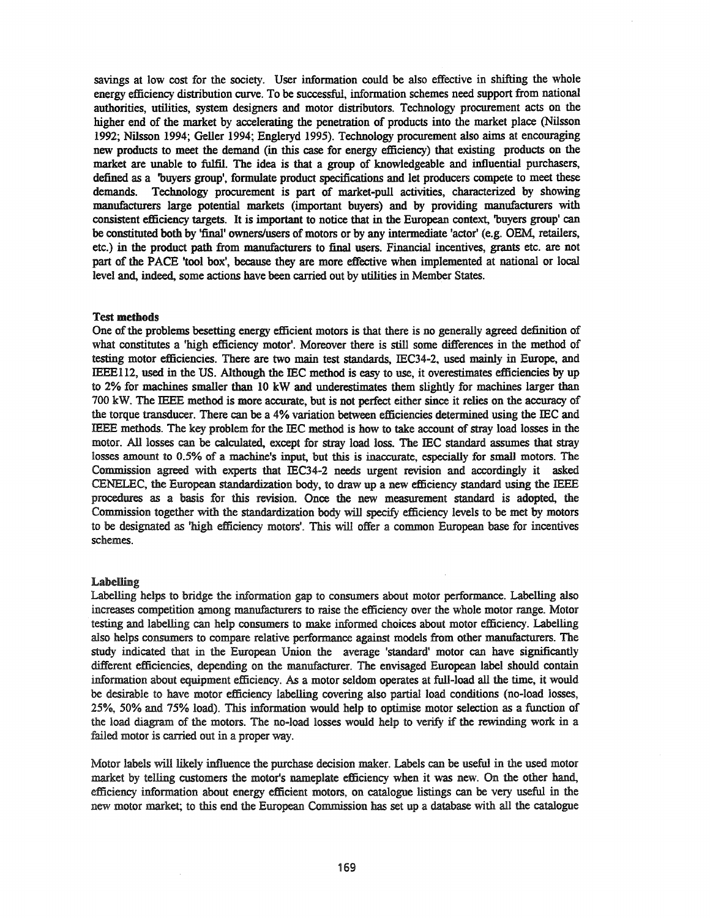savings at low cost for the society. User information could be also effective in shifting the whole energy efficiency distribution curve. To be successful, information schemes need support from national authorities, utilities, system designers and motor distributors. Technology procurement acts on the higher end of the market by accelerating the penetration of products into the market place (Nilsson 1992; Nilsson 1994; Geller 1994; Engleryd 1995). Technology procurement also aims at encouraging new products to meet the demand (in this case for energy efficiency) that existing products on the market are unable to fulfil. The idea is that a group of knowledgeable and influential purchasers, defined as a 'buyers group', formulate product specifications and let producers compete to meet these demands. Technology procurement is part of market-pull activities, characterized by showing manufacturers large potential markets (important buyers) and by providing manufacturers with consistent efficiency targets. It is important to notice that in the European context, 'buyers group' can be constituted both by 'final' owners/users of motors or by any intermediate 'actor' (e.g. OEM, retailers, etc.) in the product path from manufacturers to final users. Financial incentives, grants etc. are not part of the PACE 'tool box', because they are more effective when implemented at national or local level and, indeed, some actions have been carried out by utilities in Member States.

### Test methods

One ofthe problems besetting energy efficient motors is that there is no generally agreed definition of what constitutes a 'high efficiency motor'. Moreover there is still some differences in the method of testing motor efficiencies. There are two main test standards, lEC34-2, used mainly in Europe, and IEEE112, used in the US. Although the lEC method is easy to use, it overestimates efficiencies by up to 2% for machines smaller than 10 kW and underestimates them slightly for machines larger than 700 kW. The IEEE method is more accurate, but is not perfect either since it relies on the accuracy of the torque transducer. There can be a 4% variation between efficiencies determined using the lEC and IEEE methods. The key problem for the IEC method is how to take account of stray load losses in the motor. All losses can be calculated, except for stray load loss. The lEC standard assumes that stray losses amount to 0.5% of a machine's input, but this is inaccurate, especially for small motors. The Commission agreed with experts that lEC34-2 needs urgent revision and accordingly it asked CENELEC, the European standardization body, to draw up a new efficiency standard using the lEEE procedures as a basis for this revision. Once the new measurement standard is adopted, the Commission together with the standardization body will specify efficiency levels to be met by motors to be designated as 'high efficiency motors'. This will offer a common European base for incentives schemes.

#### Labelling

Labelling helps to bridge the information gap to consumers about motor performance. Labelling also increases competition among manufacturers to raise the efficiency over the whole motor range. Motor testing and labelling can help consumers to make informed choices about motor efficiency. Labelling also helps consumers to compare relative performance against models from other manufacturers. The study indicated that in the European Union the average 'standard' motor can have significantly different efficiencies, depending on the manufacturer. The envisaged European label should contain information about equipment efficiency. As a motor seldom operates at full-load all the time, it would be desirable to have motor efficiency labelling covering also partial load conditions (no-load losses, 25%,50% and 75% load). This information would help to optimise motor selection as a function of the load diagram of the motors. The no-load losses would help to verify if the rewinding work in <sup>a</sup> failed motor is carried out in a proper way.

Motor labels will likely influence the purchase decision maker. Labels can be useful in the used motor market by telling customers the motor's nameplate efficiency when it was new. On the other hand, efficiency information about energy efficient motors, on catalogue listings can be very useful in the new motor market; to this end the European Commission has set up a database with all the catalogue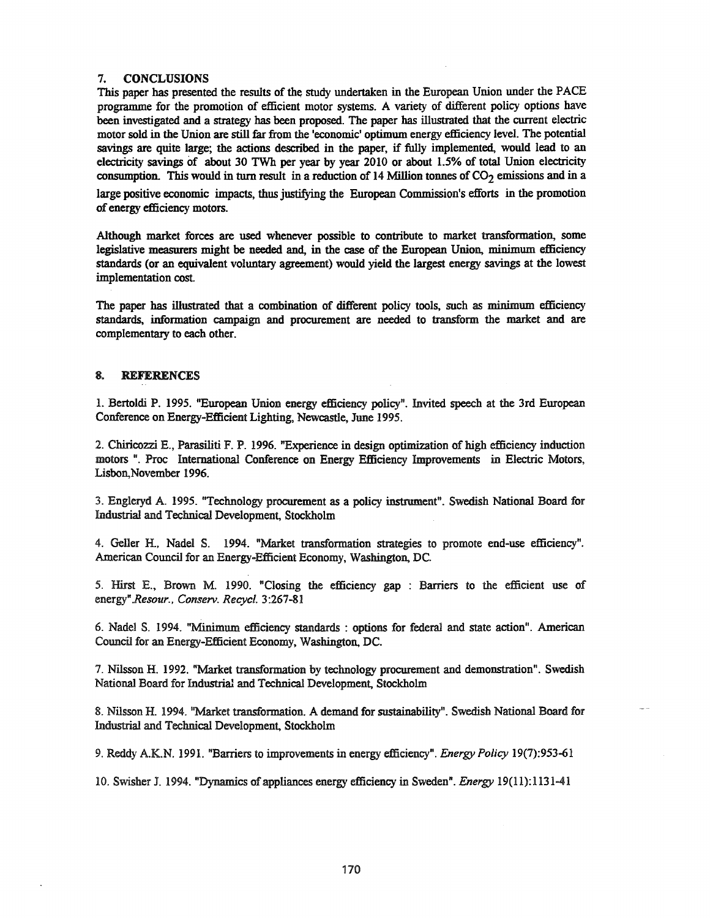## 7. CONCLUSIONS

This paper has presented the results of the study undertaken in the European Union under the PACE programme for the promotion of efficient motor systems. A variety of different policy options have been investigated and a strategy has been proposed. The paper has illustrated that the current electric motor sold in the Union are still far from the 'economic' optimum energy efficiency level. The potential savings are quite large; the actions described in the paper, if fully implemented, would lead to an electricity savings of about 30 TWh per year by year 2010 or about 1.5% of total Union electricity consumption. This would in turn result in a reduction of 14 Million tonnes of  $CO<sub>2</sub>$  emissions and in a

large positive economic impacts, thus justifying the European Commission's efforts in the promotion of energy efficiency motors.

Although market forces are used whenever possible to contribute to market transformation, some legislative measurers might be needed and, in the case of the European Union, minimum efficiency standards (or an equivalent voluntary agreement) would yield the largest energy savings at the lowest implementation cost

The paper has illustrated that a combination of different policy tools, such as minimum efficiency standards, information campaign and procurement are needed to transform the market and are complementary to each other.

## 8. REFERENCES

1. Bertoldi P. 1995. "European Union energy efficiency policy". Invited speech at the 3rd European Conference on Energy-Efficient Lighting, Newcastle, June 1995.

2. Chiricozzi E., Parasiliti F. P. 1996. "Experience in design optimization of high efficiency induction motors ". Proc International Conference on Energy Efficiency Improvements in Electric Motors, Lisbon,November 1996.

3. Engleryd A. 1995. "Technology procurement as a policy instrument". Swedish National Board for Industrial and Technical Development, Stockholm

4. Geller H., Nadel S. 1994. "Market transformation strategies to promote end-use efficiency". American Council for an Energy-Efficient Economy, Washington, DC.

5. Hirst E., Brown M. 1990. "Closing the efficiency gap : Barriers to the efficient use of energy" Resour., Conserv. Recycl. 3:267-81

6. Nadel S. 1994. "Minimum efficiency standards : options for federal and state action". American Council for an Energy-Efficient Economy, Washington, DC.

7. Nilsson H. 1992. "Market transformation by technology procurement and demonstration". Swedish National Board for Industrial and Technical Development, Stockholm

8. Nilsson H. 1994. "Market transformation. A demand for sustainability". Swedish National Board for Industrial and Technical Development, Stockholm

9. Reddy A.K.N. 1991. "Barriers to improvements in energy efficiency". *Energy Policy 19(7):953-61*

10. Swisher J. 1994. "Dynamics ofappliances energy efficiency in Sweden". *Energy 19(11):113141*